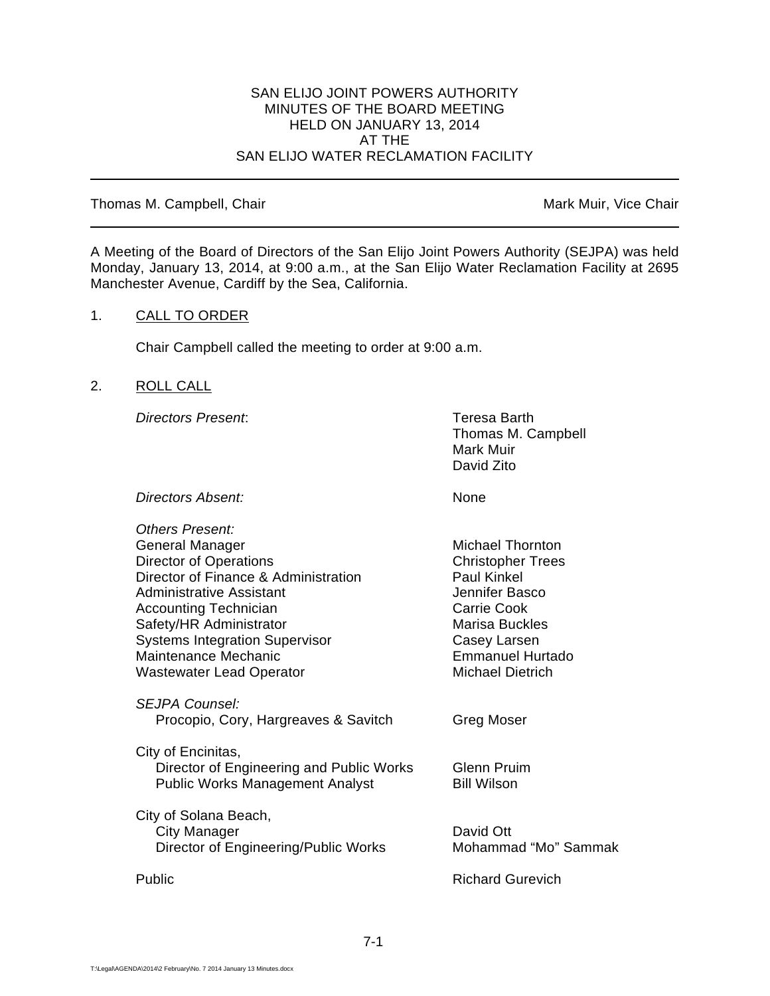### SAN ELIJO JOINT POWERS AUTHORITY MINUTES OF THE BOARD MEETING HELD ON JANUARY 13, 2014 AT THE SAN ELIJO WATER RECLAMATION FACILITY

### Thomas M. Campbell, Chair Mark Muir, Vice Chair Muir, Vice Chair

 $\overline{a}$ 

A Meeting of the Board of Directors of the San Elijo Joint Powers Authority (SEJPA) was held Monday, January 13, 2014, at 9:00 a.m., at the San Elijo Water Reclamation Facility at 2695 Manchester Avenue, Cardiff by the Sea, California.

## 1. CALL TO ORDER

Chair Campbell called the meeting to order at 9:00 a.m.

# 2. ROLL CALL

*Directors Present*: Teresa Barth

Thomas M. Campbell Mark Muir David Zito

*Directors Absent:* None

| <b>Others Present:</b>                                        |                          |
|---------------------------------------------------------------|--------------------------|
| General Manager                                               | <b>Michael Thornton</b>  |
| <b>Director of Operations</b>                                 | <b>Christopher Trees</b> |
| Director of Finance & Administration                          | <b>Paul Kinkel</b>       |
| <b>Administrative Assistant</b>                               | Jennifer Basco           |
| <b>Accounting Technician</b>                                  | Carrie Cook              |
| Safety/HR Administrator                                       | Marisa Buckles           |
| <b>Systems Integration Supervisor</b>                         | Casey Larsen             |
| Maintenance Mechanic                                          | <b>Emmanuel Hurtado</b>  |
| <b>Wastewater Lead Operator</b>                               | Michael Dietrich         |
| <i>SEJPA Counsel:</i><br>Procopio, Cory, Hargreaves & Savitch | Greg Moser               |
| City of Encinitas,                                            |                          |
| Director of Engineering and Public Works                      | Glenn Pruim              |
| <b>Public Works Management Analyst</b>                        | <b>Bill Wilson</b>       |
|                                                               |                          |
| City of Solana Beach,                                         |                          |
| <b>City Manager</b>                                           | David Ott                |
| Director of Engineering/Public Works                          | Mohammad "Mo" Sammak     |
| Public                                                        | <b>Richard Gurevich</b>  |
|                                                               |                          |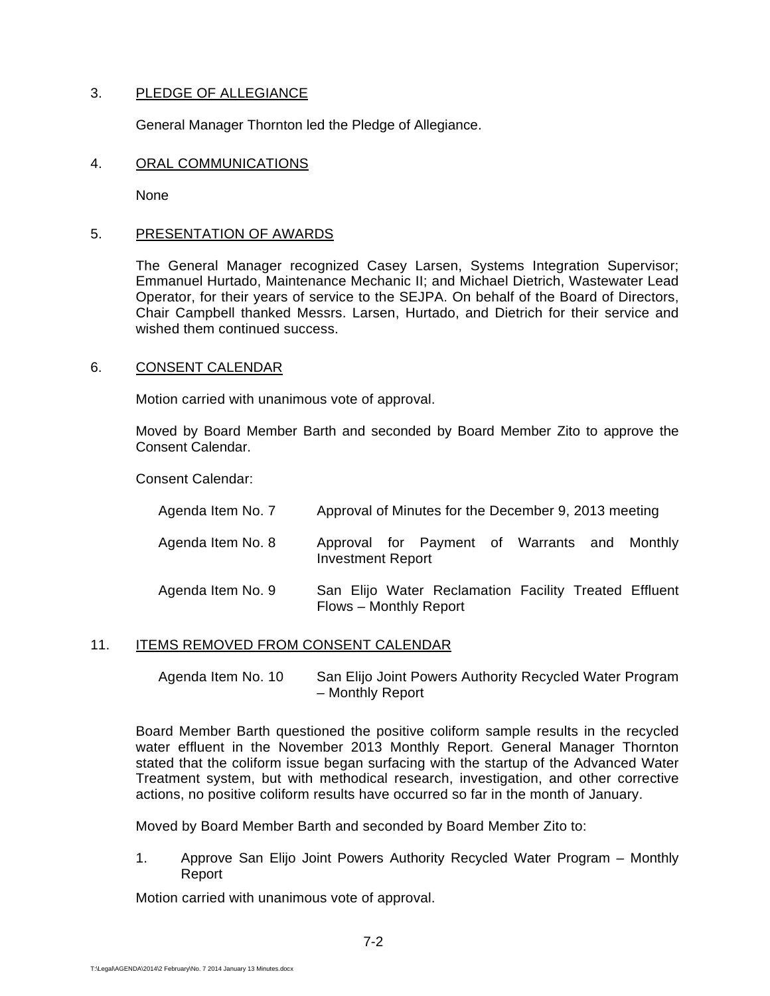# 3. PLEDGE OF ALLEGIANCE

General Manager Thornton led the Pledge of Allegiance.

### 4. ORAL COMMUNICATIONS

None

## 5. PRESENTATION OF AWARDS

 The General Manager recognized Casey Larsen, Systems Integration Supervisor; Emmanuel Hurtado, Maintenance Mechanic II; and Michael Dietrich, Wastewater Lead Operator, for their years of service to the SEJPA. On behalf of the Board of Directors, Chair Campbell thanked Messrs. Larsen, Hurtado, and Dietrich for their service and wished them continued success.

### 6. CONSENT CALENDAR

Motion carried with unanimous vote of approval.

Moved by Board Member Barth and seconded by Board Member Zito to approve the Consent Calendar.

Consent Calendar:

| Agenda Item No. 7 | Approval of Minutes for the December 9, 2013 meeting                            |
|-------------------|---------------------------------------------------------------------------------|
| Agenda Item No. 8 | Approval for Payment of Warrants and Monthly<br><b>Investment Report</b>        |
| Agenda Item No. 9 | San Elijo Water Reclamation Facility Treated Effluent<br>Flows - Monthly Report |

### 11. ITEMS REMOVED FROM CONSENT CALENDAR

 Agenda Item No. 10 San Elijo Joint Powers Authority Recycled Water Program – Monthly Report

Board Member Barth questioned the positive coliform sample results in the recycled water effluent in the November 2013 Monthly Report. General Manager Thornton stated that the coliform issue began surfacing with the startup of the Advanced Water Treatment system, but with methodical research, investigation, and other corrective actions, no positive coliform results have occurred so far in the month of January.

Moved by Board Member Barth and seconded by Board Member Zito to:

1. Approve San Elijo Joint Powers Authority Recycled Water Program – Monthly Report

Motion carried with unanimous vote of approval.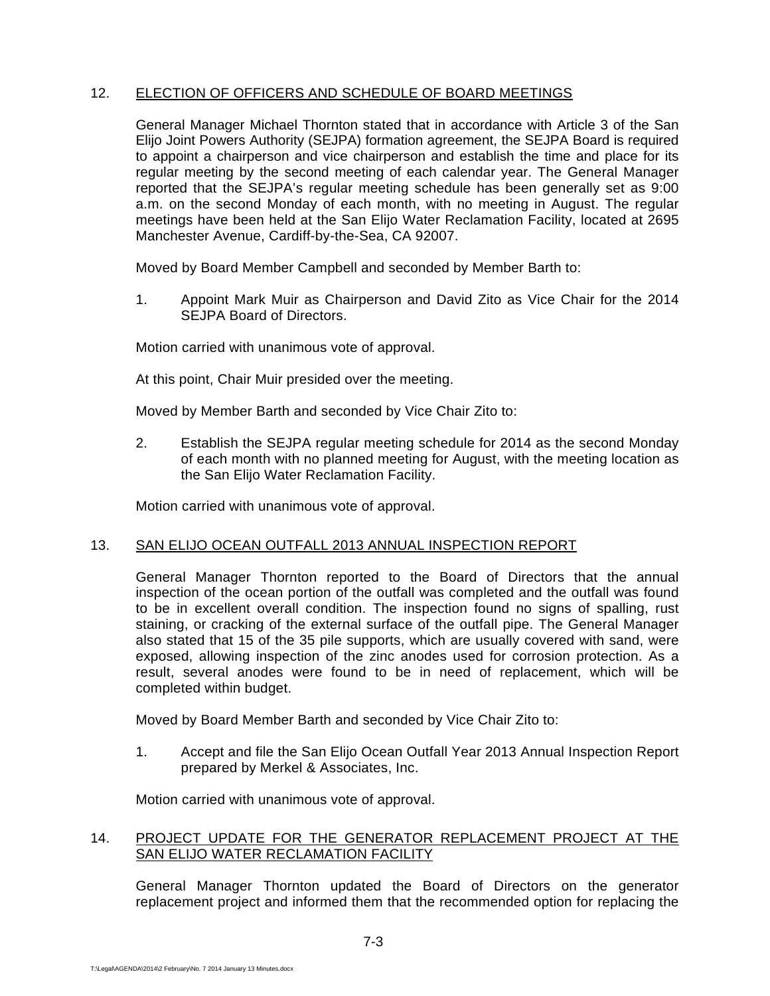## 12. ELECTION OF OFFICERS AND SCHEDULE OF BOARD MEETINGS

General Manager Michael Thornton stated that in accordance with Article 3 of the San Elijo Joint Powers Authority (SEJPA) formation agreement, the SEJPA Board is required to appoint a chairperson and vice chairperson and establish the time and place for its regular meeting by the second meeting of each calendar year. The General Manager reported that the SEJPA's regular meeting schedule has been generally set as 9:00 a.m. on the second Monday of each month, with no meeting in August. The regular meetings have been held at the San Elijo Water Reclamation Facility, located at 2695 Manchester Avenue, Cardiff-by-the-Sea, CA 92007.

Moved by Board Member Campbell and seconded by Member Barth to:

1. Appoint Mark Muir as Chairperson and David Zito as Vice Chair for the 2014 SEJPA Board of Directors.

Motion carried with unanimous vote of approval.

At this point, Chair Muir presided over the meeting.

Moved by Member Barth and seconded by Vice Chair Zito to:

2. Establish the SEJPA regular meeting schedule for 2014 as the second Monday of each month with no planned meeting for August, with the meeting location as the San Elijo Water Reclamation Facility.

Motion carried with unanimous vote of approval.

### 13. SAN ELIJO OCEAN OUTFALL 2013 ANNUAL INSPECTION REPORT

General Manager Thornton reported to the Board of Directors that the annual inspection of the ocean portion of the outfall was completed and the outfall was found to be in excellent overall condition. The inspection found no signs of spalling, rust staining, or cracking of the external surface of the outfall pipe. The General Manager also stated that 15 of the 35 pile supports, which are usually covered with sand, were exposed, allowing inspection of the zinc anodes used for corrosion protection. As a result, several anodes were found to be in need of replacement, which will be completed within budget.

Moved by Board Member Barth and seconded by Vice Chair Zito to:

1. Accept and file the San Elijo Ocean Outfall Year 2013 Annual Inspection Report prepared by Merkel & Associates, Inc.

Motion carried with unanimous vote of approval.

### 14. PROJECT UPDATE FOR THE GENERATOR REPLACEMENT PROJECT AT THE SAN ELIJO WATER RECLAMATION FACILITY

General Manager Thornton updated the Board of Directors on the generator replacement project and informed them that the recommended option for replacing the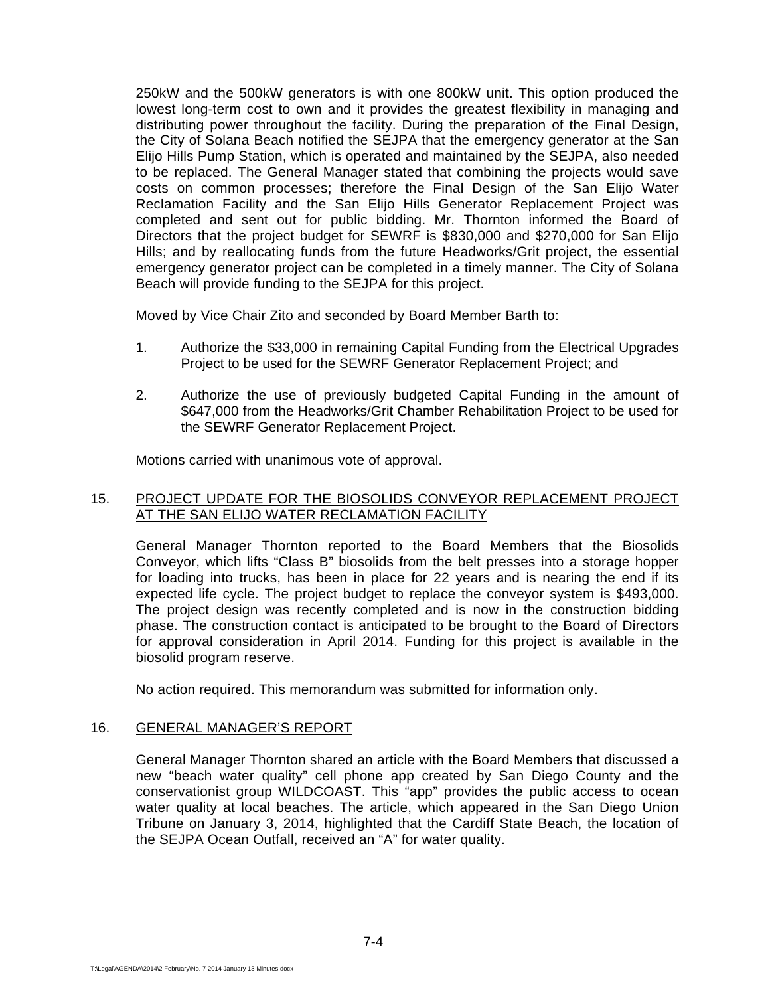250kW and the 500kW generators is with one 800kW unit. This option produced the lowest long-term cost to own and it provides the greatest flexibility in managing and distributing power throughout the facility. During the preparation of the Final Design, the City of Solana Beach notified the SEJPA that the emergency generator at the San Elijo Hills Pump Station, which is operated and maintained by the SEJPA, also needed to be replaced. The General Manager stated that combining the projects would save costs on common processes; therefore the Final Design of the San Elijo Water Reclamation Facility and the San Elijo Hills Generator Replacement Project was completed and sent out for public bidding. Mr. Thornton informed the Board of Directors that the project budget for SEWRF is \$830,000 and \$270,000 for San Elijo Hills; and by reallocating funds from the future Headworks/Grit project, the essential emergency generator project can be completed in a timely manner. The City of Solana Beach will provide funding to the SEJPA for this project.

Moved by Vice Chair Zito and seconded by Board Member Barth to:

- 1. Authorize the \$33,000 in remaining Capital Funding from the Electrical Upgrades Project to be used for the SEWRF Generator Replacement Project; and
- 2. Authorize the use of previously budgeted Capital Funding in the amount of \$647,000 from the Headworks/Grit Chamber Rehabilitation Project to be used for the SEWRF Generator Replacement Project.

Motions carried with unanimous vote of approval.

## 15. PROJECT UPDATE FOR THE BIOSOLIDS CONVEYOR REPLACEMENT PROJECT AT THE SAN ELIJO WATER RECLAMATION FACILITY

General Manager Thornton reported to the Board Members that the Biosolids Conveyor, which lifts "Class B" biosolids from the belt presses into a storage hopper for loading into trucks, has been in place for 22 years and is nearing the end if its expected life cycle. The project budget to replace the conveyor system is \$493,000. The project design was recently completed and is now in the construction bidding phase. The construction contact is anticipated to be brought to the Board of Directors for approval consideration in April 2014. Funding for this project is available in the biosolid program reserve.

No action required. This memorandum was submitted for information only.

# 16. GENERAL MANAGER'S REPORT

General Manager Thornton shared an article with the Board Members that discussed a new "beach water quality" cell phone app created by San Diego County and the conservationist group WILDCOAST. This "app" provides the public access to ocean water quality at local beaches. The article, which appeared in the San Diego Union Tribune on January 3, 2014, highlighted that the Cardiff State Beach, the location of the SEJPA Ocean Outfall, received an "A" for water quality.